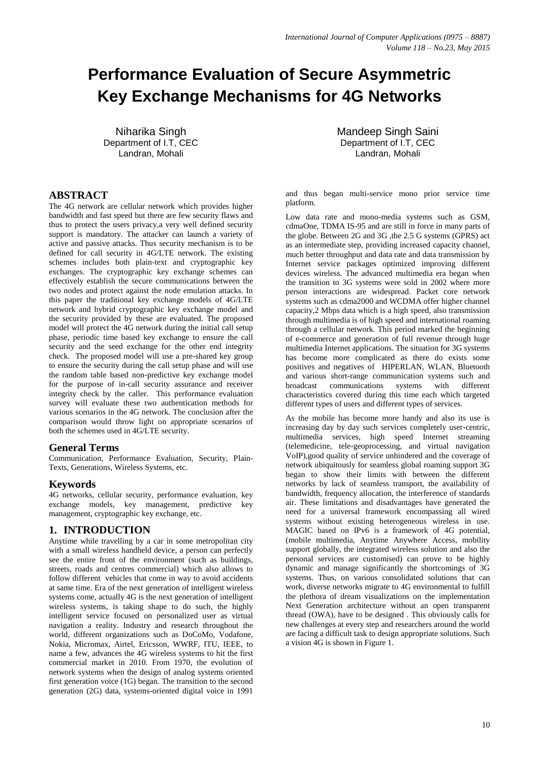# **Performance Evaluation of Secure Asymmetric Key Exchange Mechanisms for 4G Networks**

Niharika Singh Department of I.T, CEC Landran, Mohali

## **ABSTRACT**

The 4G network are cellular network which provides higher bandwidth and fast speed but there are few security flaws and thus to protect the users privacy,a very well defined security support is mandatory. The attacker can launch a variety of active and passive attacks. Thus security mechanism is to be defined for call security in 4G/LTE network. The existing schemes includes both plain-text and cryptographic key exchanges. The cryptographic key exchange schemes can effectively establish the secure communications between the two nodes and protect against the node emulation attacks. In this paper the traditional key exchange models of 4G/LTE network and hybrid cryptographic key exchange model and the security provided by these are evaluated. The proposed model will protect the 4G network during the initial call setup phase, periodic time based key exchange to ensure the call security and the seed exchange for the other end integrity check. The proposed model will use a pre-shared key group to ensure the security during the call setup phase and will use the random table based non-predictive key exchange model for the purpose of in-call security assurance and receiver integrity check by the caller. This performance evaluation survey will evaluate these two authentication methods for various scenarios in the 4G network. The conclusion after the comparison would throw light on appropriate scenarios of both the schemes used in 4G/LTE security.

#### **General Terms**

Communication, Performance Evaluation, Security, Plain-Texts, Generations, Wireless Systems, etc.

#### **Keywords**

4G networks, cellular security, performance evaluation, key exchange models, key management, predictive key management, cryptographic key exchange, etc.

#### **1. INTRODUCTION**

Anytime while travelling by a car in some metropolitan city with a small wireless handheld device, a person can perfectly see the entire front of the environment (such as buildings, streets, roads and centres commercial) which also allows to follow different vehicles that come in way to avoid accidents at same time. Era of the next generation of intelligent wireless systems come, actually 4G is the next generation of intelligent wireless systems, is taking shape to do such, the highly intelligent service focused on personalized user as virtual navigation a reality. Industry and research throughout the world, different organizations such as DoCoMo, Vodafone, Nokia, Micromax, Airtel, Ericsson, WWRF, ITU, IEEE, to name a few, advances the 4G wireless systems to hit the first commercial market in 2010. From 1970, the evolution of network systems when the design of analog systems oriented first generation voice (1G) began. The transition to the second generation (2G) data, systems-oriented digital voice in 1991

Mandeep Singh Saini Department of I.T, CEC Landran, Mohali

and thus began multi-service mono prior service time platform.

Low data rate and mono-media systems such as GSM, cdmaOne, TDMA IS-95 and are still in force in many parts of the globe. Between 2G and 3G ,the 2.5 G systems (GPRS) act as an intermediate step, providing increased capacity channel, much better throughput and data rate and data transmission by Internet service packages optimized improving different devices wireless. The advanced multimedia era began when the transition to 3G systems were sold in 2002 where more person interactions are widespread. Packet core network systems such as cdma2000 and WCDMA offer higher channel capacity,2 Mbps data which is a high speed, also transmission through multimedia is of high speed and international roaming through a cellular network. This period marked the beginning of e-commerce and generation of full revenue through huge multimedia Internet applications. The situation for 3G systems has become more complicated as there do exists some positives and negatives of HIPERLAN, WLAN, Bluetooth and various short-range communication systems such and broadcast communications systems with different characteristics covered during this time each which targeted different types of users and different types of services.

As the mobile has become more handy and also its use is increasing day by day such services completely user-centric, multimedia services, high speed Internet streaming (telemedicine, tele-geoprocessing, and virtual navigation VoIP),good quality of service unhindered and the coverage of network ubiquitously for seamless global roaming support 3G began to show their limits with between the different networks by lack of seamless transport, the availability of bandwidth, frequency allocation, the interference of standards air. These limitations and disadvantages have generated the need for a universal framework encompassing all wired systems without existing heterogeneous wireless in use. MAGIC based on IPv6 is a framework of 4G potential, (mobile multimedia, Anytime Anywhere Access, mobility support globally, the integrated wireless solution and also the personal services are customised) can prove to be highly dynamic and manage significantly the shortcomings of 3G systems. Thus, on various consolidated solutions that can work, diverse networks migrate to 4G environmental to fulfill the plethora of dream visualizations on the implementation Next Generation architecture without an open transparent thread (OWA), have to be designed . This obviously calls for new challenges at every step and researchers around the world are facing a difficult task to design appropriate solutions. Such a vision 4G is shown in Figure 1.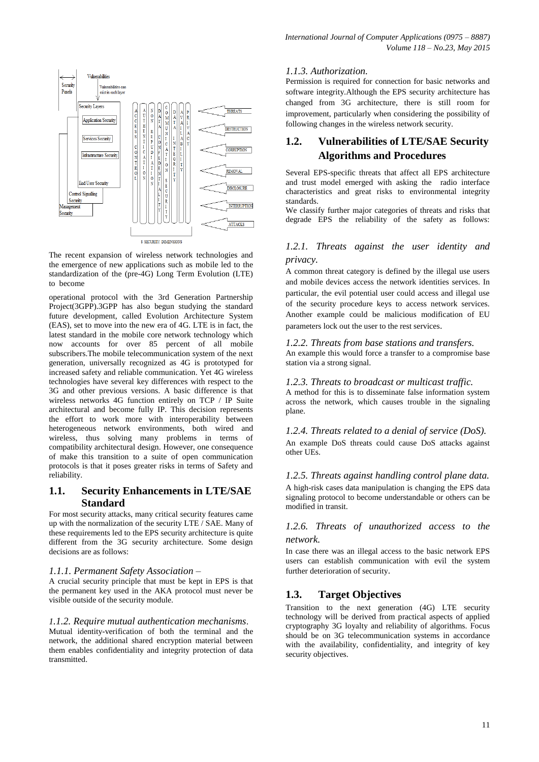

The recent expansion of wireless network technologies and the emergence of new applications such as mobile led to the standardization of the (pre-4G) Long Term Evolution (LTE) to become

operational protocol with the 3rd Generation Partnership Project(3GPP).3GPP has also begun studying the standard future development, called Evolution Architecture System (EAS), set to move into the new era of 4G. LTE is in fact, the latest standard in the mobile core network technology which now accounts for over 85 percent of all mobile subscribers.The mobile telecommunication system of the next generation, universally recognized as 4G is prototyped for increased safety and reliable communication. Yet 4G wireless technologies have several key differences with respect to the 3G and other previous versions. A basic difference is that wireless networks 4G function entirely on TCP / IP Suite architectural and become fully IP. This decision represents the effort to work more with interoperability between heterogeneous network environments, both wired and wireless, thus solving many problems in terms of compatibility architectural design. However, one consequence of make this transition to a suite of open communication protocols is that it poses greater risks in terms of Safety and reliability.

### **1.1. Security Enhancements in LTE/SAE Standard**

For most security attacks, many critical security features came up with the normalization of the security LTE / SAE. Many of these requirements led to the EPS security architecture is quite different from the 3G security architecture. Some design decisions are as follows:

#### *1.1.1. Permanent Safety Association –*

A crucial security principle that must be kept in EPS is that the permanent key used in the AKA protocol must never be visible outside of the security module.

#### *1.1.2. Require mutual authentication mechanisms*.

Mutual identity-verification of both the terminal and the network, the additional shared encryption material between them enables confidentiality and integrity protection of data transmitted.

## *1.1.3. Authorization.*

Permission is required for connection for basic networks and software integrity.Although the EPS security architecture has changed from 3G architecture, there is still room for improvement, particularly when considering the possibility of following changes in the wireless network security.

# **1.2. Vulnerabilities of LTE/SAE Security Algorithms and Procedures**

Several EPS-specific threats that affect all EPS architecture and trust model emerged with asking the radio interface characteristics and great risks to environmental integrity standards.

We classify further major categories of threats and risks that degrade EPS the reliability of the safety as follows:

## *1.2.1. Threats against the user identity and privacy.*

A common threat category is defined by the illegal use users and mobile devices access the network identities services. In particular, the evil potential user could access and illegal use of the security procedure keys to access network services. Another example could be malicious modification of EU parameters lock out the user to the rest services.

#### *1.2.2. Threats from base stations and transfers.*

An example this would force a transfer to a compromise base station via a strong signal.

#### *1.2.3. Threats to broadcast or multicast traffic.*

A method for this is to disseminate false information system across the network, which causes trouble in the signaling plane.

#### *1.2.4. Threats related to a denial of service (DoS).*  An example DoS threats could cause DoS attacks against other UEs.

#### *1.2.5. Threats against handling control plane data.*

A high-risk cases data manipulation is changing the EPS data signaling protocol to become understandable or others can be modified in transit.

## *1.2.6. Threats of unauthorized access to the network.*

In case there was an illegal access to the basic network EPS users can establish communication with evil the system further deterioration of security.

## **1.3. Target Objectives**

Transition to the next generation (4G) LTE security technology will be derived from practical aspects of applied cryptography 3G loyalty and reliability of algorithms. Focus should be on 3G telecommunication systems in accordance with the availability, confidentiality, and integrity of key security objectives.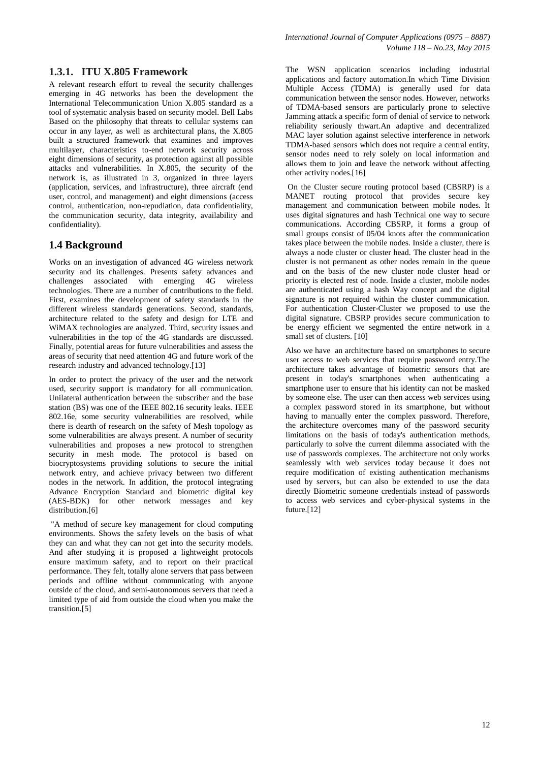## **1.3.1. ITU X.805 Framework**

A relevant research effort to reveal the security challenges emerging in 4G networks has been the development the International Telecommunication Union X.805 standard as a tool of systematic analysis based on security model. Bell Labs Based on the philosophy that threats to cellular systems can occur in any layer, as well as architectural plans, the X.805 built a structured framework that examines and improves multilayer, characteristics to-end network security across eight dimensions of security, as protection against all possible attacks and vulnerabilities. In X.805, the security of the network is, as illustrated in 3, organized in three layers (application, services, and infrastructure), three aircraft (end user, control, and management) and eight dimensions (access control, authentication, non-repudiation, data confidentiality, the communication security, data integrity, availability and confidentiality).

## **1.4 Background**

Works on an investigation of advanced 4G wireless network security and its challenges. Presents safety advances and challenges associated with emerging 4G wireless technologies. There are a number of contributions to the field. First, examines the development of safety standards in the different wireless standards generations. Second, standards, architecture related to the safety and design for LTE and WiMAX technologies are analyzed. Third, security issues and vulnerabilities in the top of the 4G standards are discussed. Finally, potential areas for future vulnerabilities and assess the areas of security that need attention 4G and future work of the research industry and advanced technology.[13]

In order to protect the privacy of the user and the network used, security support is mandatory for all communication. Unilateral authentication between the subscriber and the base station (BS) was one of the IEEE 802.16 security leaks. IEEE 802.16e, some security vulnerabilities are resolved, while there is dearth of research on the safety of Mesh topology as some vulnerabilities are always present. A number of security vulnerabilities and proposes a new protocol to strengthen security in mesh mode. The protocol is based on biocryptosystems providing solutions to secure the initial network entry, and achieve privacy between two different nodes in the network. In addition, the protocol integrating Advance Encryption Standard and biometric digital key (AES-BDK) for other network messages and key distribution.<sup>[6]</sup>

"A method of secure key management for cloud computing environments. Shows the safety levels on the basis of what they can and what they can not get into the security models. And after studying it is proposed a lightweight protocols ensure maximum safety, and to report on their practical performance. They felt, totally alone servers that pass between periods and offline without communicating with anyone outside of the cloud, and semi-autonomous servers that need a limited type of aid from outside the cloud when you make the transition.[5]

The WSN application scenarios including industrial applications and factory automation.In which Time Division Multiple Access (TDMA) is generally used for data communication between the sensor nodes. However, networks of TDMA-based sensors are particularly prone to selective Jamming attack a specific form of denial of service to network reliability seriously thwart.An adaptive and decentralized MAC layer solution against selective interference in network TDMA-based sensors which does not require a central entity, sensor nodes need to rely solely on local information and allows them to join and leave the network without affecting other activity nodes.[16]

On the Cluster secure routing protocol based (CBSRP) is a MANET routing protocol that provides secure key management and communication between mobile nodes. It uses digital signatures and hash Technical one way to secure communications. According CBSRP, it forms a group of small groups consist of 05/04 knots after the communication takes place between the mobile nodes. Inside a cluster, there is always a node cluster or cluster head. The cluster head in the cluster is not permanent as other nodes remain in the queue and on the basis of the new cluster node cluster head or priority is elected rest of node. Inside a cluster, mobile nodes are authenticated using a hash Way concept and the digital signature is not required within the cluster communication. For authentication Cluster-Cluster we proposed to use the digital signature. CBSRP provides secure communication to be energy efficient we segmented the entire network in a small set of clusters. [10]

Also we have an architecture based on smartphones to secure user access to web services that require password entry.The architecture takes advantage of biometric sensors that are present in today's smartphones when authenticating a smartphone user to ensure that his identity can not be masked by someone else. The user can then access web services using a complex password stored in its smartphone, but without having to manually enter the complex password. Therefore, the architecture overcomes many of the password security limitations on the basis of today's authentication methods, particularly to solve the current dilemma associated with the use of passwords complexes. The architecture not only works seamlessly with web services today because it does not require modification of existing authentication mechanisms used by servers, but can also be extended to use the data directly Biometric someone credentials instead of passwords to access web services and cyber-physical systems in the future.[12]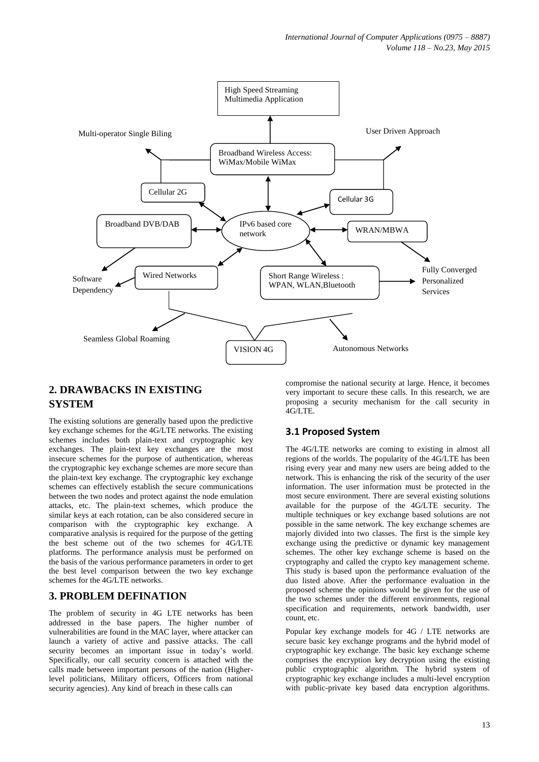

# **2. DRAWBACKS IN EXISTING SYSTEM**

The existing solutions are generally based upon the predictive key exchange schemes for the 4G/LTE networks. The existing schemes includes both plain-text and cryptographic key exchanges. The plain-text key exchanges are the most insecure schemes for the purpose of authentication, whereas the cryptographic key exchange schemes are more secure than the plain-text key exchange. The cryptographic key exchange schemes can effectively establish the secure communications between the two nodes and protect against the node emulation attacks, etc. The plain-text schemes, which produce the similar keys at each rotation, can be also considered secure in comparison with the cryptographic key exchange. A comparative analysis is required for the purpose of the getting the best scheme out of the two schemes for 4G/LTE platforms. The performance analysis must be performed on the basis of the various performance parameters in order to get the best level comparison between the two key exchange schemes for the 4G/LTE networks.

# **3. PROBLEM DEFINATION**

The problem of security in 4G LTE networks has been addressed in the base papers. The higher number of vulnerabilities are found in the MAC layer, where attacker can launch a variety of active and passive attacks. The call security becomes an important issue in today's world. Specifically, our call security concern is attached with the calls made between important persons of the nation (Higherlevel politicians, Military officers, Officers from national security agencies). Any kind of breach in these calls can

compromise the national security at large. Hence, it becomes very important to secure these calls. In this research, we are proposing a security mechanism for the call security in 4G/LTE.

# **3.1 Proposed System**

The 4G/LTE networks are coming to existing in almost all regions of the worlds. The popularity of the 4G/LTE has been rising every year and many new users are being added to the network. This is enhancing the risk of the security of the user information. The user information must be protected in the most secure environment. There are several existing solutions available for the purpose of the 4G/LTE security. The multiple techniques or key exchange based solutions are not possible in the same network. The key exchange schemes are majorly divided into two classes. The first is the simple key exchange using the predictive or dynamic key management schemes. The other key exchange scheme is based on the cryptography and called the crypto key management scheme. This study is based upon the performance evaluation of the duo listed above. After the performance evaluation in the proposed scheme the opinions would be given for the use of the two schemes under the different environments, regional specification and requirements, network bandwidth, user count, etc.

Popular key exchange models for 4G / LTE networks are secure basic key exchange programs and the hybrid model of cryptographic key exchange. The basic key exchange scheme comprises the encryption key decryption using the existing public cryptographic algorithm. The hybrid system of cryptographic key exchange includes a multi-level encryption with public-private key based data encryption algorithms.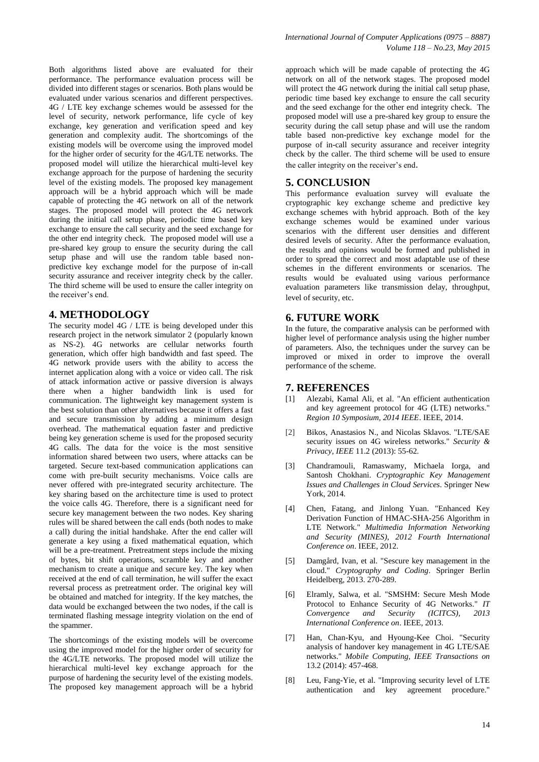Both algorithms listed above are evaluated for their performance. The performance evaluation process will be divided into different stages or scenarios. Both plans would be evaluated under various scenarios and different perspectives. 4G / LTE key exchange schemes would be assessed for the level of security, network performance, life cycle of key exchange, key generation and verification speed and key generation and complexity audit. The shortcomings of the existing models will be overcome using the improved model for the higher order of security for the 4G/LTE networks. The proposed model will utilize the hierarchical multi-level key exchange approach for the purpose of hardening the security level of the existing models. The proposed key management approach will be a hybrid approach which will be made capable of protecting the 4G network on all of the network stages. The proposed model will protect the 4G network during the initial call setup phase, periodic time based key exchange to ensure the call security and the seed exchange for the other end integrity check. The proposed model will use a pre-shared key group to ensure the security during the call setup phase and will use the random table based nonpredictive key exchange model for the purpose of in-call security assurance and receiver integrity check by the caller. The third scheme will be used to ensure the caller integrity on the receiver's end.

#### **4. METHODOLOGY**

The security model 4G / LTE is being developed under this research project in the network simulator 2 (popularly known as NS-2). 4G networks are cellular networks fourth generation, which offer high bandwidth and fast speed. The 4G network provide users with the ability to access the internet application along with a voice or video call. The risk of attack information active or passive diversion is always there when a higher bandwidth link is used for communication. The lightweight key management system is the best solution than other alternatives because it offers a fast and secure transmission by adding a minimum design overhead. The mathematical equation faster and predictive being key generation scheme is used for the proposed security 4G calls. The data for the voice is the most sensitive information shared between two users, where attacks can be targeted. Secure text-based communication applications can come with pre-built security mechanisms. Voice calls are never offered with pre-integrated security architecture. The key sharing based on the architecture time is used to protect the voice calls 4G. Therefore, there is a significant need for secure key management between the two nodes. Key sharing rules will be shared between the call ends (both nodes to make a call) during the initial handshake. After the end caller will generate a key using a fixed mathematical equation, which will be a pre-treatment. Pretreatment steps include the mixing of bytes, bit shift operations, scramble key and another mechanism to create a unique and secure key. The key when received at the end of call termination, he will suffer the exact reversal process as pretreatment order. The original key will be obtained and matched for integrity. If the key matches, the data would be exchanged between the two nodes, if the call is terminated flashing message integrity violation on the end of the spammer.

The shortcomings of the existing models will be overcome using the improved model for the higher order of security for the 4G/LTE networks. The proposed model will utilize the hierarchical multi-level key exchange approach for the purpose of hardening the security level of the existing models. The proposed key management approach will be a hybrid approach which will be made capable of protecting the 4G network on all of the network stages. The proposed model will protect the 4G network during the initial call setup phase, periodic time based key exchange to ensure the call security and the seed exchange for the other end integrity check. The proposed model will use a pre-shared key group to ensure the security during the call setup phase and will use the random table based non-predictive key exchange model for the purpose of in-call security assurance and receiver integrity check by the caller. The third scheme will be used to ensure the caller integrity on the receiver's end.

#### **5. CONCLUSION**

This performance evaluation survey will evaluate the cryptographic key exchange scheme and predictive key exchange schemes with hybrid approach. Both of the key exchange schemes would be examined under various scenarios with the different user densities and different desired levels of security. After the performance evaluation, the results and opinions would be formed and published in order to spread the correct and most adaptable use of these schemes in the different environments or scenarios. The results would be evaluated using various performance evaluation parameters like transmission delay, throughput, level of security, etc.

#### **6. FUTURE WORK**

In the future, the comparative analysis can be performed with higher level of performance analysis using the higher number of parameters. Also, the techniques under the survey can be improved or mixed in order to improve the overall performance of the scheme.

#### **7. REFERENCES**

- [1] Alezabi, Kamal Ali, et al. "An efficient authentication and key agreement protocol for 4G (LTE) networks." *Region 10 Symposium, 2014 IEEE*. IEEE, 2014.
- [2] Bikos, Anastasios N., and Nicolas Sklavos. "LTE/SAE security issues on 4G wireless networks." *Security & Privacy, IEEE* 11.2 (2013): 55-62.
- [3] Chandramouli, Ramaswamy, Michaela Iorga, and Santosh Chokhani. *Cryptographic Key Management Issues and Challenges in Cloud Services*. Springer New York, 2014.
- [4] Chen, Fatang, and Jinlong Yuan. "Enhanced Key Derivation Function of HMAC-SHA-256 Algorithm in LTE Network." *Multimedia Information Networking and Security (MINES), 2012 Fourth International Conference on*. IEEE, 2012.
- [5] Damgård, Ivan, et al. "Sescure key management in the cloud." *Cryptography and Coding*. Springer Berlin Heidelberg, 2013. 270-289.
- [6] Elramly, Salwa, et al. "SMSHM: Secure Mesh Mode Protocol to Enhance Security of 4G Networks." *IT Convergence and Security (ICITCS), 2013 International Conference on*. IEEE, 2013.
- [7] Han, Chan-Kyu, and Hyoung-Kee Choi. "Security analysis of handover key management in 4G LTE/SAE networks." *Mobile Computing, IEEE Transactions on* 13.2 (2014): 457-468.
- [8] Leu, Fang-Yie, et al. "Improving security level of LTE authentication and key agreement procedure."